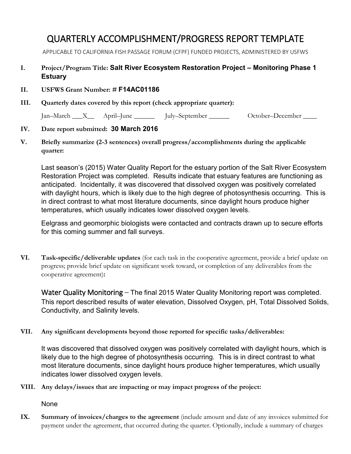## QUARTERLY ACCOMPLISHMENT/PROGRESS REPORT TEMPLATE

APPLICABLE TO CALIFORNIA FISH PASSAGE FORUM (CFPF) FUNDED PROJECTS, ADMINISTERED BY USFWS

## **I. Project/Program Title: Salt River Ecosystem Restoration Project – Monitoring Phase 1 Estuary**

- **II. USFWS Grant Number: # F14AC01186**
- **III. Quarterly dates covered by this report (check appropriate quarter):**

Jan–March \_\_\_X\_\_ April–June \_\_\_\_\_\_ July–September \_\_\_\_\_\_ October–December \_\_\_\_

## **IV. Date report submitted: 30 March 2016**

**V. Briefly summarize (2-3 sentences) overall progress/accomplishments during the applicable quarter:** 

Last season's (2015) Water Quality Report for the estuary portion of the Salt River Ecosystem Restoration Project was completed. Results indicate that estuary features are functioning as anticipated. Incidentally, it was discovered that dissolved oxygen was positively correlated with daylight hours, which is likely due to the high degree of photosynthesis occurring. This is in direct contrast to what most literature documents, since daylight hours produce higher temperatures, which usually indicates lower dissolved oxygen levels.

Eelgrass and geomorphic biologists were contacted and contracts drawn up to secure efforts for this coming summer and fall surveys.

**VI. Task-specific/deliverable updates** (for each task in the cooperative agreement, provide a brief update on progress; provide brief update on significant work toward, or completion of any deliverables from the cooperative agreement)**:**

Water Quality Monitoring – The final 2015 Water Quality Monitoring report was completed. This report described results of water elevation, Dissolved Oxygen, pH, Total Dissolved Solids, Conductivity, and Salinity levels.

**VII. Any significant developments beyond those reported for specific tasks/deliverables:**

It was discovered that dissolved oxygen was positively correlated with daylight hours, which is likely due to the high degree of photosynthesis occurring. This is in direct contrast to what most literature documents, since daylight hours produce higher temperatures, which usually indicates lower dissolved oxygen levels.

**VIII. Any delays/issues that are impacting or may impact progress of the project:**

None

**IX. Summary of invoices/charges to the agreement** (include amount and date of any invoices submitted for payment under the agreement, that occurred during the quarter. Optionally, include a summary of charges